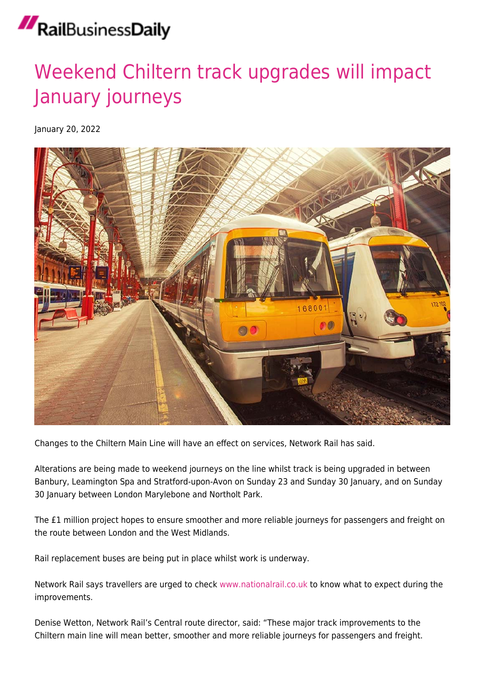## RailBusinessDaily

## [Weekend Chiltern track upgrades will impact](https://news.railbusinessdaily.com/weekend-chiltern-track-upgrades-will-impact-january-journeys/) [January journeys](https://news.railbusinessdaily.com/weekend-chiltern-track-upgrades-will-impact-january-journeys/)

January 20, 2022



Changes to the Chiltern Main Line will have an effect on services, Network Rail has said.

Alterations are being made to weekend journeys on the line whilst track is being upgraded in between Banbury, Leamington Spa and Stratford-upon-Avon on Sunday 23 and Sunday 30 January, and on Sunday 30 January between London Marylebone and Northolt Park.

The £1 million project hopes to ensure smoother and more reliable journeys for passengers and freight on the route between London and the West Midlands.

Rail replacement buses are being put in place whilst work is underway.

Network Rail says travellers are urged to check [www.nationalrail.co.uk](http://www.nationalrail.co.uk) to know what to expect during the improvements.

Denise Wetton, Network Rail's Central route director, said: "These major track improvements to the Chiltern main line will mean better, smoother and more reliable journeys for passengers and freight.